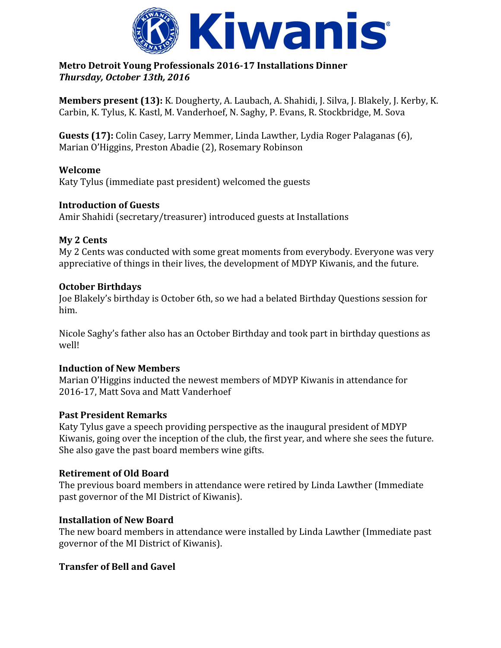

#### **Metro Detroit Young Professionals 2016-17 Installations Dinner** *Thursday, October 13th, 2016*

**Members present (13):** K. Dougherty, A. Laubach, A. Shahidi, J. Silva, J. Blakely, J. Kerby, K. Carbin, K. Tylus, K. Kastl, M. Vanderhoef, N. Saghy, P. Evans, R. Stockbridge, M. Sova

**Guests (17):** Colin Casey, Larry Memmer, Linda Lawther, Lydia Roger Palaganas (6), Marian O'Higgins, Preston Abadie (2), Rosemary Robinson

# **Welcome**

Katy Tylus (immediate past president) welcomed the guests

## **Introduction of Guests**

Amir Shahidi (secretary/treasurer) introduced guests at Installations

#### **My 2 Cents**

My 2 Cents was conducted with some great moments from everybody. Everyone was very appreciative of things in their lives, the development of MDYP Kiwanis, and the future.

#### **October Birthdays**

Joe Blakely's birthday is October 6th, so we had a belated Birthday Questions session for him.

Nicole Saghy's father also has an October Birthday and took part in birthday questions as well!

## **Induction of New Members**

Marian O'Higgins inducted the newest members of MDYP Kiwanis in attendance for 2016-17, Matt Sova and Matt Vanderhoef

## **Past President Remarks**

Katy Tylus gave a speech providing perspective as the inaugural president of MDYP Kiwanis, going over the inception of the club, the first year, and where she sees the future. She also gave the past board members wine gifts.

## **Retirement of Old Board**

The previous board members in attendance were retired by Linda Lawther (Immediate past governor of the MI District of Kiwanis).

## **Installation of New Board**

The new board members in attendance were installed by Linda Lawther (Immediate past governor of the MI District of Kiwanis).

## **Transfer of Bell and Gavel**